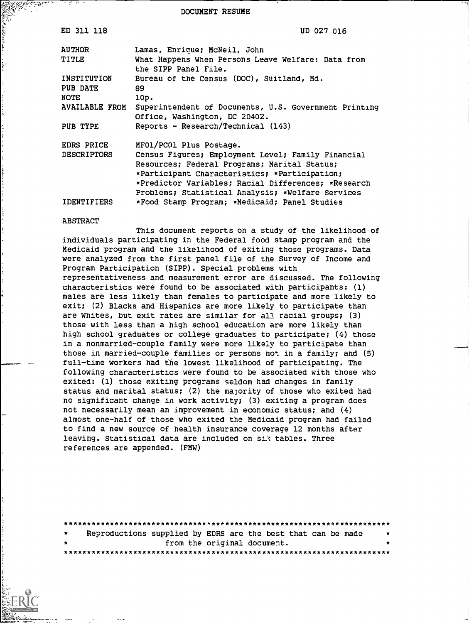DOCUMENT RESUME

| ED 311 118              | UD 027 016                                                                                                                                                                                                                                                      |
|-------------------------|-----------------------------------------------------------------------------------------------------------------------------------------------------------------------------------------------------------------------------------------------------------------|
| <b>AUTHOR</b>           | Lamas, Enrique; McNeil, John                                                                                                                                                                                                                                    |
| TITLE                   | What Happens When Persons Leave Welfare: Data from<br>the SIPP Panel File.                                                                                                                                                                                      |
| INSTITUTION<br>PUB DATE | Bureau of the Census (DOC), Suitland, Md.<br>89.                                                                                                                                                                                                                |
| NOTE                    | 10p.                                                                                                                                                                                                                                                            |
| <b>AVAILABLE FROM</b>   | Superintendent of Documents, U.S. Government Printing<br>Office, Washington, DC 20402.                                                                                                                                                                          |
| PUB TYPE                | Reports - Research/Technical $(143)$                                                                                                                                                                                                                            |
| EDRS PRICE              | MFO1/PCO1 Plus Postage.                                                                                                                                                                                                                                         |
| <b>DESCRIPTORS</b>      | Census Figures; Employment Level; Family Financial<br>Resources; Federal Programs; Marital Status;<br>*Participant Characteristics; *Participation;<br>*Predictor Variables; Racial Differences; *Research<br>Problems; Statistical Analysis; *Welfare Services |
| IDENTIFIERS             | *Food Stamp Program; *Medicaid; Panel Studies                                                                                                                                                                                                                   |

#### ABSTRACT

This document reports on a study of the likelihood of individuals participating in the Federal food stamp program and the Medicaid program and the likelihood of exiting those programs. Data were analyzed from the first panel file of the Survey of Income and Program Participation (SIPP). Special problems with representativeness and measurement error are discussed. The following characteristics were found to be associated with participants: (1) males are less likely than females to participate and more likely to exit; (2) Blacks and Hispanics are more likely to participate than are Whites, but exit rates are similar for all racial groups; (3) those with less than a high school education are more likely than high school graduates or college graduates to participate; (4) those in a nonmarried-couple family were more likely to participate than those in married-couple families or persons not in a family; and (5) full-time workers had the lowest likelihood of participating. The following characteristics were found to be associated with those who exited: (1) those exiting programs seldom had changes in family status and marital status; (2) the majority of those who exited had no significant change in work activity; (3) exiting a program does not necessarily mean an improvement in economic status; and (4) almost one-half of those who exited the Medicaid program had failed to find a new source of health insurance coverage 12 months after leaving. Statistical data are included on six tables. Three references are appended. (FMW)

| $\star$ | Reproductions supplied by EDRS are the best that can be made |  |                             | $\star$ |
|---------|--------------------------------------------------------------|--|-----------------------------|---------|
| $\star$ |                                                              |  | from the original document. | *       |
|         |                                                              |  |                             |         |

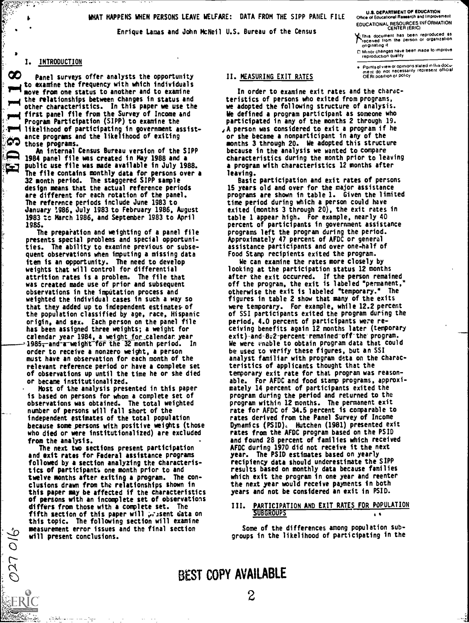WHAT HAPPENS WHEN PERSONS LEAVE WELFARE: DATA FROM THE SIPP PANEL FILE

Enrique Lamas and John McNeil U.S. Bureau of the Census

U.S. DEPARTMENT OF EDUCATION Office of Educational Research and Improvement EDUCATIONAL RESOURCES INFORMATION<br>CENTER (ERIC)

14.This document has been reproduced as received from the person or organization originating it

CI Minor changes have been made to improve reproduction quality

Points of view or opinions stated in this doCu-<br>ment :do: not inecessarily represent lofficial<br>OERI position or policy

## 1. INTRODUCTION

re y

У¢

910 LTU

00 Panel surveys offer analysts the opportunity to examine the frequency with which individuals move from one status to another and to examine the relationships between changes in status and ' other characteristics. In this paper we use the first panel file from the Survey of Income and Program Participation (SIPP) to examine the mmi likelihood of participating in government assistante programs and the likelihood of exiting က those programs.

**By Mark Street** 

An internal Census Bureau version of the SIPP P<sub>2</sub> 1984 panel file was created in May 1988 and a<br><u>P4 1984 public use file</u> was made available in July 19 public use file was made available in July 1988. The file contains monthly data for persons over a 32 month period. The staggered SIPP sample design means that the actual reference periods are different for each rotation of the panel. The reference periods include June 1983 to January :986, July 1983 to February 1986, August 1983 tc March 1986, and September 1983 to April 1985.

The preparation and weighting of a panel file presents special problems and special opportunities. The ability to examine previous or subsequent observations when imputing a missing data item is an opportunity. The need to develop weights that will control for differential attrition rates is a problem. The file that was created made use of prior and subsequent observations in the imputation process and weighted the individual cases in such a way so that they added up to independent estimates- of the population classified by age, race, Hispanic origin, and sex. Each person on the panel file has been assigned three weights; a weight for calendar year 1984, a weight for calendar. year -1985<del>, a</del>nd-a-weight for the 32 month period. In order to receive a nonzero weight, a person must have an observation for each month of the relevant reference period or have a complete set of observations up until the time he or she died or became institutionalized.

Most of the analysis presented in this paper is based on persons for whom a complete set of observations was obtained. The total weighted number of persons will fall short of the independent estimates of the total population because some persons with positive weights (those who died or were institutionalized) are excluded from the analysis.

The next two sections present participation and exit rates for Federal assistance programs followed by a section analyzing the characteristics of participants one month prior to and twelve months after exiting a program. The conclusions drawn from the relationships shown in this paper may be affected if the characteristics of persons with an incomplete set of observations<br>differs from those with a complete set. The TII. differs from those with a complete set. The fifth section of this paper will present data on this topic. The following section will examine measurement error issues and the final section will present conclusions.

عوادعا بالفياحية

### II. MEASURING EXIT RATES

In order to examine exit rates and the characteristics of persons who exited from programs, we adopted the following structure of analysis. We defined a program participant as someone who participated in any of the months 2 through 19. 1A person was considered to exit a program if he

or she became a nonparticipant in any of the months 3 through 20. We adopted this structure because in the analysis we wanted to compare characteristics during the month prior to leaving a program with characteristics 12 months after leaving.

Basic participation and exit rates of persons 15 years old and over for the major assistance programs are shown in table 1. Given the limited time period during which a person could have exited (months 3 through 20), the exit rates in table 1 appear high. For example, nearly 40 percent of participants in government assistance programs left the program during the period. Approximately 47 percent of AFDC or general assistance participants and over one-half of Food Stamp recipients exited the program.

We can examine the rates more closely by looking at the participation status 12 months after the exit occurred. If the person remained off the program, the exit is labeled "permanent,<br>otherwise the exit is labeled "temporary." The otherwise the exit is labeled "temporary." figures in table 2 show that many of the exits were temporary. For example, while 12.2 percent of SSI participants exited the program during the period, 4.0 percent of participants were receiving benefits again 12 months later (temporary exit) and -8:2-percent remained off the program. We were unable to obtain program data that could be used to verify these figures, but an SSI analyst familiar with program data on the characteristics of applicants thought that the temporary exit rate for that program was reasonable. For AFDC and food stamp programs, approximately 14 percent of participants exited the program during the period and returned to the program within 12 months. The permanent exit rate for AFDC of 34.5 percent is comparable to rates derived from the Panel Survey of Income Dynamics (PSID), Hutchen (1981) presented exit rates from the AFDC program based on the PSID and found 28 percent of families which received AFDC during 1970 did not receive it the next year. The PSID estimates based on yearly recipiency data should underestimate the SIPP results based on monthly data because families which exit the program in one year and reenter the next year would receive payments in both years and not be considered an exit in PSID.

#### PARTICIPATION AND EXIT RATES FOR POPULATION **SUBGROUPS**

Some of the differences among population subgroups in the likelihood of participating in the

## BEST COPY AVAILABLE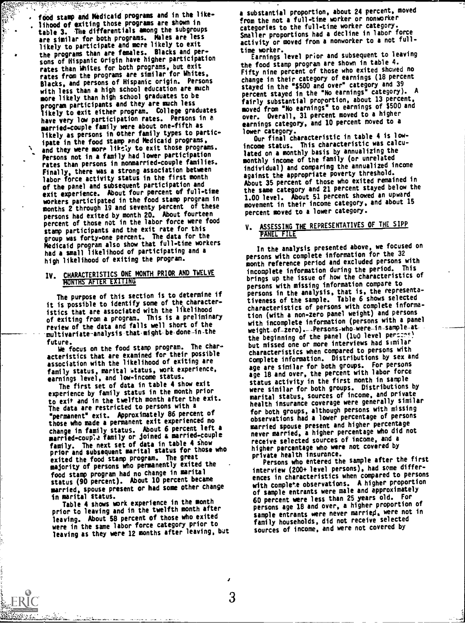food stamp and Medicaid programs and in the likelihood of exiting those programs are shown in table 3. The differentials among the subgroups are similar for both programs. Males are less likely to participate and more likely to exit the programs than are females. Blacks and persons of Hispanic origin have higher participation rates than Whites for both programs, but exit rates from the programs are similar for Whites, Blacks, and persons of Hispanic origin. Persons with less than a high school education are much more likely than high school graduates to be program participants and they are much less likely to exit either program. College graduates have very low participation rates. Persons in a married-couple family were about one-fifth as likely as persons in other family types to participate in the food stamp end Medicaid programs, and they were more likely to exit those programs. Persons not in a family had lower participation rates than persons in nonmarried-couple families. Finally, there was a strong association between labor force activity status in the first month of the panel and subsequent participation and exit experience. About four percent of full-time workers participated in the food stamp program in months 2 through 19 and seventy percent of these persons had exited by month 20. About fourteen percent of those not in the labor force were food stamp participants and the exit rate for this group was forty-one percent. The data for the Medicaid program also show that full-time workers had a small likelihood of participating and a high likelihood of exiting the program.

والمستعمل المستعمل المستعمل المستعمل المستعمل المستعمل المستعمل المستعمل المستعمل المستعمل المستعمل المستعمل المستعمل المستعمل المستعمل المستعمل المستعمل المستعمل المستعمل المستعمل المستعمل المستعمل المستعمل المستعمل المس

**大学** 

 $\sum_{i=1}^{n}$ 

# IV. CHARACTERISTICS ONE MONTH PRIOR AND TWELVE

The purpose of this section is to determine if it is possible to identify some of the characteristics that are associated with the likelihood of exiting from a program. This is a preliminary review of the data and falls well short of the -multivariate-analysis-that-might-be-done-in-the

future. We focus on the food stamp program. The characteristics that are examined for their possible association with the likelihood of exiting are family status, marital status, work experience, earnings level, and low-income status.

The first set of data in table 4 show exit experience by family status in the month prior to exit and in the twelfth month after the exit. The data are restricted to persons with a "permanent" exit. Approximately 86 percent of those who made a permanent exit experienced no change in family status. About 6 percent left a communication of the couple of the market and continuously con<br>married-couple family or joined a married-couple of the family. The next set of data in table 4 show prior and subsequent marital status for those who exited the food stamp program. The great majority of persons who permanently exited the food stamp program had no change in marital status (90 percent). About 10 percent became married, spouse present or had some other change<br>in marital status.

in marital status. Table 4 shows work experience in the month prior to leaving and in the twelfth month after leaving. About 58 percent of those who exited were in the same labor force category prior to leaving as they were 12 months after leaving, but

a substantial proportion, about 24 percent, moved from the not a full-time worker or nonworker categories to the full-time worker category. Smaller proportions had a decline in labor force activity or moved from a nonworker to a not full-

time worker. Earnings level prior and subsequent to leaving the food stamp program are shown in table 4. Fifty nine percent of those who exited showed no change in their category of earnings (18 percent stayed in the "\$500 and over" category and 39 percent stayed in the "No earnings" category). fairly substantial proportion, about 13 percent, moved from "No earnings' to earnings of \$500 and over. Overall, 31 percent moved to a higher earnings category, and 10 percent moved to a

lower category. Our final characteristic in table 4 is lowincome status. This characteristic was calculated on a monthly basis by annualizing the monthly income of the family (or unrelated individual) and comparing the annualized income against the appropriate poverty threshold. About 35 percent of those who exited remained in the same category and 21 percent stayed below the 1.00 level. About 51 percent showed an upward movement in their income category, and about 15 percent moved to a lower category.

## ASSESSING THE REPRESENTATIVES OF THE SIPP PANEL FILE

In the analysis presented above, we focused on persons with complete information for the 32 month reference period and excluded persons with incomplete information during the period. This brings up the issue of how the characteristics of persons with missing information compare to persons in the analysis, that is, the representativeness of the sample. Table 6 shows selected characteristics of persons with complete information (with a non-zero panel weight) and persons with incomplete information (persons with a panel weight - of -zero). - -Persons-who -were -in-sample - atthe beginning of the panel (1u0 level persons) but missed one or more interviews had similar characteristics when compared to persons with complete information. Distributions by sex and age are similar for both groups. For persons age 18 and over, the percent with labor force status activity in the first month in sample were similar for both groups. Distributions by marital status, sources of income, and private health insurance coverage were generally similar for both groups, although persons with missing observations had a lower percentage of persons married spouse present and higher percentage never married, a higher percentage who did not receive selected sources of income, and a higher percentage who were not covered by private health insurance.

Persons who entered the sample after the first interview (200+ level persons), had some differences in characteristics when compared to persons with complete observations. A higher proportion of sample entrants were male and approximately 60 percent were less than 25 years old. For persons age 18 and over, a higher proportion of sample entrants were never married, were not in family households, did not receive selected sources of income, and were not covered by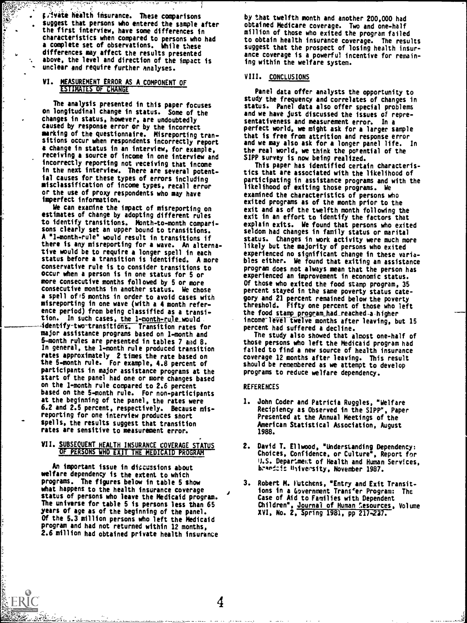;AVite health insurance. These comparisons suggest that persons who entered the sample after the first interview, have some differences in characteristics when compared to persons who had a complete set of observations. While these differences may affect the results presented above, the level and direction of the impact is unclear and require further analyses.

## VI. MEASUREMENT ERROR AS A COMPONENT OF ESTIMATES OF CHANGE

<u>لوكتون المواطنة المواسطينية المواسطينية</u>

<u>لوهيون المراجع</u>

E.

The analysis presented in this paper focuses on longitudinal change in status. Some of the changes in status, however, are undoubtedly caused by response error or by the incorrect marking of the questionnaire. Misreporting tran-sitions occur when respondents incorrectly report a change in status in an interview, for example, receiving a source of income in one interview and incorrectly reporting not receiving that income in the next interview. There are several potential causes for these types of errors including misclassification of income types, recall error or the use of proxy respondents who may have imperfect information.

We can examine the impact of misreporting on estimates of change by adopting different rules to identify transitions. Month-to-month comparisons clearly set an upper bound to transitions. A "1- month -rule` would result in transitions if there is any misreporting for a wave. An alternative would be to require a longer spell in each status before a transition is identified. A more conservative rule is to consider transitions to occur when a person is in one status for 5 or more consecutive months followed by 5 or more consecutive months in another status. We chose a spell of:5 months in order to avoid cases with misreporting in one wave (with a 4 month reference period) from being classified as a transition. In such cases, the 1-month-rule\_would identify-two-transitions. Transition rates for major assistance programs based on 1-month and 5-month rules are presented in tables 7 mid 8. In general, the 1-month rule produced transition rates approximately 2 times the rate based on the 5-month rule. For example, 4.8 percent of participants in major assistance programs at the start of the panel had one or more changes based on the 1-month rule compared to 2.6 percent based on the 5-month rule. For non-participants at the beginning of the panel, the rates were 6.2 and 2.5 percent, respectively. Because misreporting for one interview produces short spells, the results suggest that transition rates are sensitive to measurement error.

#### VII. SUBSEQUENT HEALTH INSURANCE COVERAGE STATUS OF PERSONS WHO EXIT THE MEDICAID PROGRAM

An important issue in discussions about welfare dependency is the extent to which programs. The figures below in table 5 show what happens to the health insurance coverage status of persons who leave the Medicaid program. The universe for table 5 is persons less than 65 years of age as of the beginning of the panel. Of the 5.3 million persons who left the Medicaid program and had not returned within 12 months, 2.6 million had obtained private health insurance by that twelfth month and another 200,000 had obtained Medicare coverage. Two and one-half million of those who exited the program failed to obtain health insurance coverage. The results suggest that the prospect of losing health insurance coverage is a powerful incentive for remaining within the welfare system.

### VIII. CONCLUSIONS

Panel data offer analysts the opportunity to study the frequency and correlates of changes in status. Panel data also offer special problems and we have just discussed the issues of representativeness and measurement error. In a perfect world, we might ask for a larger sample that is free from attrition and response error and we may also ask for a longer panel life. In the real world, we think the potential of the SIPP survey is now being realized.

This paper has identified certain characteristics that are associated with the likelihood of participating in assistance programs and with the likelihood of exiting those programs. We examined the characteristics of persons who exited programs as of the month prior to the exit and as of the twelfth month following the exit in an effort to identify the factors that explain exits. We found that persons who exited seldom had changes in family status or marital status. Changes in work activity were much more likely but the majority of persons who exited experienced no significant change in these variables either. We found that exiting an assistance program does not always mean that the person has experienced an improvement in economic status. Of those who exited the food stamp program, 35 percent stayed in the same poverty status category and 21 percent remained below the poverty threshold. Fifty one percent of those who left the food stamp program\_had\_reached a higher income level twelve months after leaving, but 15 percent had suffered a decline.

The study also showed that almost one-half of those persons who left the Medicaid program had failed to find a new source of health insurance coverage 12 months after leaving. This result should be remembered as we attempt to develop programs to reduce welfare dependency.

#### REFERENCES

- 1. John Coder and Patricia Ruggles, "Welfare Recipiency as Observed in the SIPP", Paper Presented at the Annual Meetings of the American Statistical Association, August 1988.
- 2. David T. Ellwood, "Understanding Dependency: Choices, Confidence, or Culture", Report for U.S. Depariment of Health and Human Services, hrsked:i: filive'sity, November 1987.
- 3. Robert M. lutchens, 'Entry and Exit Transitions in a Government Transfer Program: The Case of Aid to Families with Dependent Children", Journal of Human Resources, Volume XVI, No. 2, Spring 1981, pp 217-227.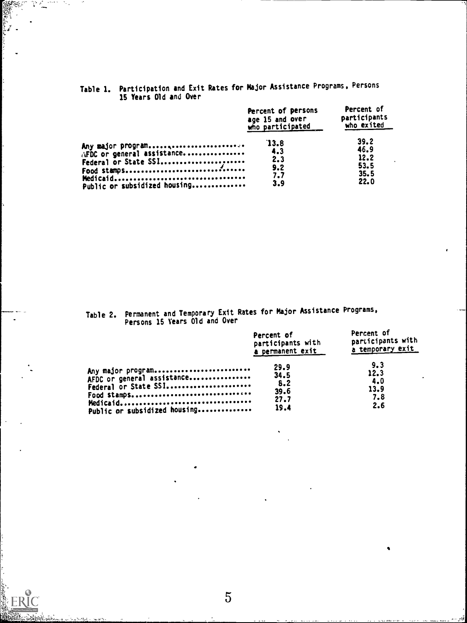|                                                                                 | Percent of persons<br>age 15 and over<br>who participated | Percent of<br>participants<br>who exited     |
|---------------------------------------------------------------------------------|-----------------------------------------------------------|----------------------------------------------|
| Any major program<br>AFDC or general assistance<br>Public or subsidized housing | 13.8<br>4.3<br>2.3<br>9.2<br>7.7<br>3.9                   | 39.2<br>46.9<br>12.2<br>53.5<br>35.5<br>22.0 |

Table 1. Participation and Exit Rates for Major Assistance Programs, Persons 15 Years Old and Over

S.

and and and a

Table 2. Permanent and Temporary Exit Rates for Major Assistance Programs, Persons 15 Years Old and Over

|                              | Percent of<br>participants with<br>a permanent exit | Percent of<br>participants with<br>a temporary exit |
|------------------------------|-----------------------------------------------------|-----------------------------------------------------|
| Any major program            | 29.9                                                | 9.3                                                 |
| AFDC or general assistance   | 34.5                                                | 12.3                                                |
| Federal or State SSI         | 8.2                                                 | 4.0                                                 |
| Food stamps                  | 39.6                                                | 13.9                                                |
|                              | 27.7                                                | 7.8                                                 |
| Public or subsidized housing | 19.4                                                | 2.6                                                 |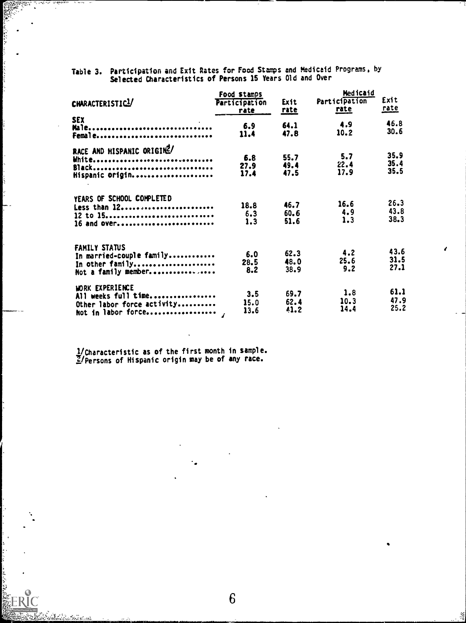| Table 3. Participation and Exit Rates for Food Stamps and Medicaid Programs, by |  |
|---------------------------------------------------------------------------------|--|
| Selected Characteristics of Persons 15 Years Old and Over                       |  |

|                            | Food stamps          |             | Medicaid      |              |  |
|----------------------------|----------------------|-------------|---------------|--------------|--|
| CHARACTERISTIC1            | <b>Participation</b> | Exit        | Participation | Exit         |  |
|                            | rate                 | <u>rate</u> | <u>rate</u>   | <u>rate</u>  |  |
| <b>SEX</b>                 | 6.9                  | 64.1        | 4.9           | 46.8         |  |
| Male<br>Femal e            | 11.4                 | 47.8        | 10.2          | 30.6         |  |
|                            |                      |             |               |              |  |
| RACE AND HISPANIC ORIGINZ/ |                      |             |               |              |  |
| White                      | 6.8                  | 55.7        | 5.7           | 35.9<br>35.4 |  |
| Black                      | 27.9                 | 49.4        | 22.4          | 35.5         |  |
| Hispanic origin            | 17.4                 | 47.5        | 17.9          |              |  |
| YEARS OF SCHOOL COMPLETED  |                      |             |               |              |  |
| Less than 12               | 18.8                 | 46.7        | 16.6          | 26.3         |  |
| 12 to 15                   | 6.3                  | 60.6        | 4.9           | 43.8         |  |
| 16 and over                | 1.3                  | 51.6        | 1.3           | 38.3         |  |
| FAMILY STATUS              |                      |             |               |              |  |
| In married-couple family   | 6.0                  | 62.3        | 4.2           | 43.6         |  |
| In other family            | 28.5                 | 48.0        | 25.6          | 31.5         |  |
| Not a family member        | 8.2                  | 38.9        | 9.2           | 27.1         |  |
|                            |                      |             |               |              |  |
| <b>WORK EXPERIENCE</b>     |                      |             |               | 61.1         |  |
| All weeks full time        | 3.5                  | 69.7        | 1.8           |              |  |
| Other labor force activity | 15.0                 | 62.4        | 10.3          | 47.9         |  |
| Not in labor force         | 13.6                 | 41.2        | 14.4          | 25.2         |  |

1 /Characteristic as of the first month in sample. 1/Persons of Hispanic origin may be of any race.

 $\mathcal{L}$ k.

ERIC<br>ERIC

เพิ่ม

菱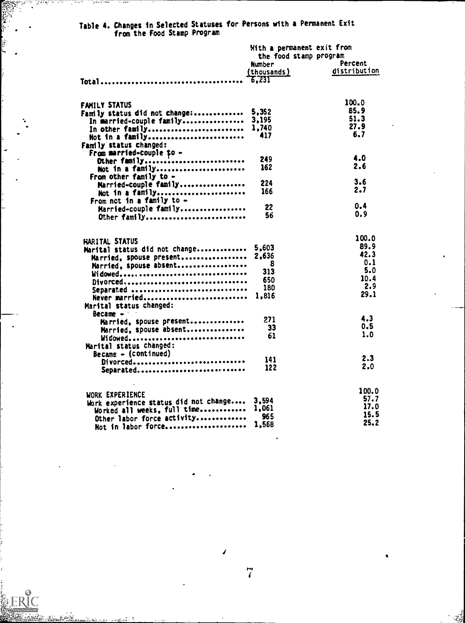|                                       | With a permanent exit from |              |  |
|---------------------------------------|----------------------------|--------------|--|
|                                       | the food stamp program     |              |  |
|                                       | Number                     | Percent      |  |
|                                       | (thousands)                | distribution |  |
|                                       | $-6.231$                   |              |  |
|                                       |                            |              |  |
| FAMILY STATUS                         |                            | 100.0        |  |
| Family status did not change:         | 5,352                      | 85.9         |  |
| In married-couple family              | 3,195                      | 51.3         |  |
| In other family                       | 1,740                      | 27.9         |  |
| Not in a family                       | 417                        | 6.7          |  |
| Family status changed:                |                            |              |  |
| From married-couple to -              |                            |              |  |
| Other family                          | 249                        | 4.0          |  |
| Not in a family                       | 162                        | 2.6          |  |
| From other family to -                |                            |              |  |
| Married-couple family                 | 224                        | 3.6          |  |
| Not in a family                       | 166                        | 2.7          |  |
| From not in a family to $-$           |                            |              |  |
| Married-couple family                 | 22                         | 0.4          |  |
| Other family                          | 56                         | 0.9          |  |
|                                       |                            | 100.0        |  |
| HARITAL STATUS                        |                            |              |  |
| Marital status did not change         | 5,603                      | 89.9<br>42.3 |  |
| Married, spouse present               | 2.636                      | 0.1          |  |
| Married, spouse absent                | 8                          | 5.0          |  |
| Widowed                               | 313                        | 10.4         |  |
| Divorced                              | 650                        | 2.9          |  |
| Separated                             | 180                        | 29.1         |  |
| Never married                         | 1,816                      |              |  |
| Marital status changed:               |                            |              |  |
| Became -                              |                            | 4.3          |  |
| Married, spouse present               | 271                        | 0.5          |  |
| Married, spouse absent                | 33                         | 1.0          |  |
| Widowed                               | 61                         |              |  |
| Marital status changed:               |                            |              |  |
| $Because - (continued)$               |                            | 2.3          |  |
| Divorced                              | 141                        | 2.0          |  |
| Separated                             | 122                        |              |  |
|                                       |                            | 100.0        |  |
| WORK EXPERIENCE                       | 3,594                      | 57.7         |  |
| Work experience status did not change | 1,061                      | 17.0         |  |
| Worked all weeks, full time           | 965                        | 15.5         |  |
| Other labor force activity            | 1,568                      | 25.2         |  |
| Not in labor force                    |                            |              |  |

## Table 4. Changes in Selected Statuses for Persons with a Permanent Exit from the Food Stamp Program

¥

.<br>بود منغ

I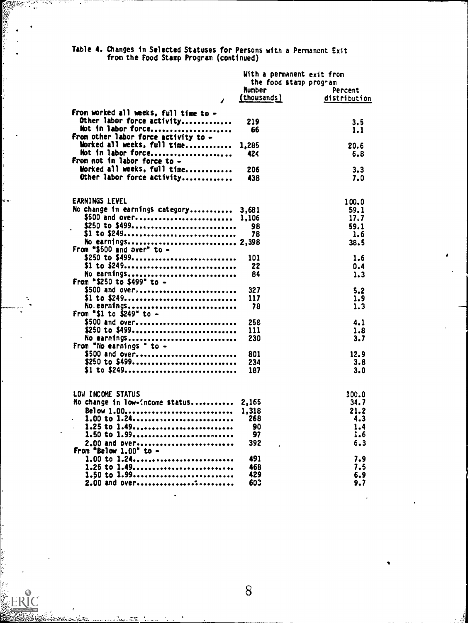Table 4. Changes in Selected Statuses for Persons with a Permanent Exit from the Food Stamp Program (continued)

|                                                                                   | With a permanent exit from |              |  |
|-----------------------------------------------------------------------------------|----------------------------|--------------|--|
|                                                                                   | the food stamp program     |              |  |
|                                                                                   | <b>Number</b>              | Percent      |  |
| $\sqrt{2}$                                                                        | (thousands)                | distribution |  |
| From worked all weeks, full time to -                                             |                            |              |  |
| Other labor force activity                                                        | 219                        | 3.5          |  |
| Not in labor force                                                                | 66                         | 1.1          |  |
| From other labor force activity to -                                              |                            |              |  |
| Worked all weeks, full time                                                       | 1,285                      | 20.6         |  |
| Not in labor force                                                                | 424                        | 6.8          |  |
| From not in labor force to -                                                      |                            |              |  |
| Worked all weeks, full time                                                       | 206                        | 3.3          |  |
| Other labor force activity                                                        | 438                        | 7.0          |  |
|                                                                                   |                            |              |  |
| <b>EARNINGS LEVEL</b>                                                             |                            | 100.0        |  |
| No change in earnings category 3,681                                              |                            | 59.1         |  |
| \$500 and over 1,106                                                              |                            | 17.7         |  |
| \$250 to \$499                                                                    | 98                         | 59.1         |  |
| \$1 to \$249                                                                      | 78                         | 1.6          |  |
| No earnings 2,398                                                                 |                            | 38.5         |  |
| From "\$500 and over" to $-$                                                      |                            |              |  |
| \$250 to \$499                                                                    | 101                        | 1.6          |  |
| \$1 to \$249                                                                      | 22                         | 0.4          |  |
| No earnings                                                                       | 84                         | 1.3          |  |
| From "\$250 to \$499" to -                                                        |                            |              |  |
| \$500 and over                                                                    | 327                        | 5.2          |  |
| \$1 to \$249                                                                      | 117                        | 1.9          |  |
| No.earnings                                                                       | 78                         | 1.3          |  |
| From "\$1 to \$249" to -                                                          |                            |              |  |
| \$500 and over                                                                    | 258                        | 4.1          |  |
| \$250 to \$499                                                                    | 111                        | 1.8          |  |
| No earnings                                                                       | 230                        | 3.7          |  |
| From "No earnings " to -                                                          |                            |              |  |
| \$500 and over                                                                    | 801                        | 12.9         |  |
| \$250 to \$499                                                                    | 234                        | 3.8          |  |
| \$1 to \$249                                                                      | 187                        | 3.0          |  |
|                                                                                   |                            |              |  |
| LOW INCOME STATUS                                                                 |                            | 100.0        |  |
| No change in low- <ncome 2,165<="" status="" td=""><td></td><td>34.7</td></ncome> |                            | 34.7         |  |
|                                                                                   |                            | 21.2         |  |
| . 1.00 to 1.24 268                                                                |                            | 4.3          |  |
| 1.25 to 1.49                                                                      | 90                         | 1.4          |  |
| 1.50 to 1.99                                                                      | 97                         | 1.6          |  |
| 2.00 and over                                                                     | 392                        | 6.3          |  |
| From "Below 1.00" to -                                                            |                            |              |  |
| 1.00 to 1.24                                                                      | 491                        | 7.9          |  |
| 1.25 to 1.49                                                                      | 468                        | 7.5          |  |
| 1.50 to 1.99                                                                      | 429                        | 6.9          |  |
| 2.00 and over                                                                     | 603                        | 9.7          |  |

**- 7** 

ERIC

 $\ddot{\cdot}$ 

z.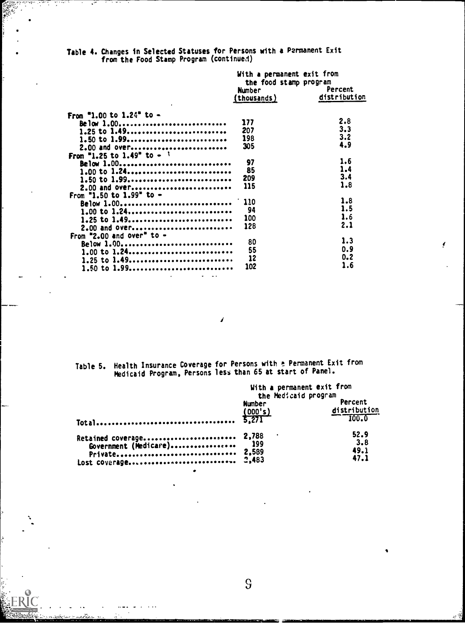Table 4. Changes in Selected Statuses for Persons with a Permanent Exit from the Food Stamp Program (continued)

|                                        | With a permanent exit from<br>the food stamp program |              |  |
|----------------------------------------|------------------------------------------------------|--------------|--|
|                                        |                                                      |              |  |
|                                        | <b>Number</b>                                        | Percent      |  |
|                                        | (thousands)                                          | distribution |  |
| From "1.00 to 1.24" to -               |                                                      |              |  |
| Below 1.00                             | 177                                                  | 2.8          |  |
|                                        | 207                                                  | 3.3          |  |
| $1.25$ to $1.49$                       |                                                      | 3.2          |  |
| 1.50 to 1.99                           | 198                                                  | 4.9          |  |
| 2.00 and over                          | 305                                                  |              |  |
| From "1.25 to 1.49" to - $\frac{1}{2}$ |                                                      |              |  |
| Below 1.00                             | 97                                                   | 1.6          |  |
| 1.00 to 1.24                           | 85                                                   | 1.4          |  |
| 1.50 to 1.99                           | 209                                                  | 3.4          |  |
| 2.00 and over                          | 115                                                  | 1.8          |  |
| From "1.50 to 1.99" to $-$             |                                                      |              |  |
|                                        | $\therefore$ 110                                     | 1.8          |  |
| Below 1.00                             | 94                                                   | 1.5          |  |
| $1.00$ to $1.24$ ,                     |                                                      | 1.6          |  |
| 1.25 to 1.49                           | 100                                                  | 2.1          |  |
| 2.00 and OVEC                          | 128                                                  |              |  |
| From "2.00 and over" to $-$            |                                                      |              |  |
| Below 1.00                             | 80                                                   | 1.3          |  |
| 1.00 to 1.24                           | 55                                                   | 0.9          |  |
| 1.25 to 1.49                           | 12                                                   | $0 - 2$      |  |
| 1.50 to 1.99                           | 102                                                  | 1.6          |  |
|                                        |                                                      |              |  |

ţ

Table 5. Health Insurance Coverage for Persons with a Permanent Exit from<br>Medicaid Program, Persons less than 65 at start of Panel.

|                                                                       | With a permanent exit from<br>the Medicaid program |                             |
|-----------------------------------------------------------------------|----------------------------------------------------|-----------------------------|
|                                                                       | <b>Number</b>                                      | Percent<br>distribution     |
| Retained coverage 2,788<br>Government (Medicare) 199<br>Private 2,589 |                                                    | 52.9<br>3.8<br>49.1<br>47.1 |